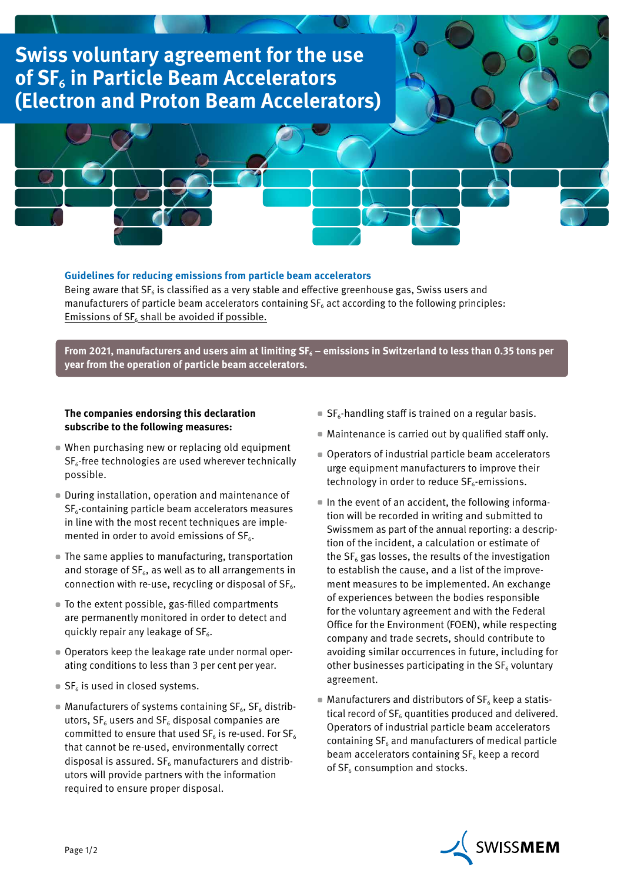## **Swiss voluntary agreement for the use of SF6 in Particle Beam Accelerators (Electron and Proton Beam Accelerators)**



## **Guidelines for reducing emissions from particle beam accelerators**

Being aware that  $SF<sub>6</sub>$  is classified as a very stable and effective greenhouse gas, Swiss users and manufacturers of particle beam accelerators containing  $SF<sub>6</sub>$  act according to the following principles: Emissions of  $SF<sub>6</sub>$  shall be avoided if possible.

From 2021, manufacturers and users aim at limiting SF<sub>6</sub> – emissions in Switzerland to less than 0.35 tons per **year from the operation of particle beam accelerators.**

## **The companies endorsing this declaration subscribe to the following measures:**

- When purchasing new or replacing old equipment  $SF<sub>6</sub>$ -free technologies are used wherever technically possible.
- During installation, operation and maintenance of  $SF<sub>6</sub>$ -containing particle beam accelerators measures in line with the most recent techniques are implemented in order to avoid emissions of  $SF<sub>6</sub>$ .
- The same applies to manufacturing, transportation and storage of  $SF_6$ , as well as to all arrangements in connection with re-use, recycling or disposal of  $SF<sub>6</sub>$ .
- To the extent possible, gas-filled compartments are permanently monitored in order to detect and quickly repair any leakage of  $SF<sub>6</sub>$ .
- Operators keep the leakage rate under normal operating conditions to less than 3 per cent per year.
- $\blacksquare$  SF<sub>6</sub> is used in closed systems.
- **Manufacturers of systems containing SF<sub>6</sub>, SF<sub>6</sub> distrib**utors,  $SF<sub>6</sub>$  users and  $SF<sub>6</sub>$  disposal companies are committed to ensure that used  $SF_6$  is re-used. For  $SF_6$ that cannot be re-used, environmentally correct disposal is assured.  $SF_6$  manufacturers and distributors will provide partners with the information required to ensure proper disposal.
- $\blacksquare$  SF<sub>6</sub>-handling staff is trained on a regular basis.
- Maintenance is carried out by qualified staff only.
- Operators of industrial particle beam accelerators urge equipment manufacturers to improve their technology in order to reduce  $SF<sub>6</sub>$ -emissions.
- In the event of an accident, the following information will be recorded in writing and submitted to Swissmem as part of the annual reporting: a description of the incident, a calculation or estimate of the  $SF<sub>6</sub>$  gas losses, the results of the investigation to establish the cause, and a list of the improvement measures to be implemented. An exchange of experiences between the bodies responsible for the voluntary agreement and with the Federal Office for the Environment (FOEN), while respecting company and trade secrets, should contribute to avoiding similar occurrences in future, including for other businesses participating in the  $SF<sub>6</sub>$  voluntary agreement.
- $\blacksquare$  Manufacturers and distributors of  $SF_6$  keep a statistical record of  $SF<sub>6</sub>$  quantities produced and delivered. Operators of industrial particle beam accelerators containing  $SF<sub>6</sub>$  and manufacturers of medical particle beam accelerators containing  $SF<sub>6</sub>$  keep a record of  $SF<sub>6</sub>$  consumption and stocks.